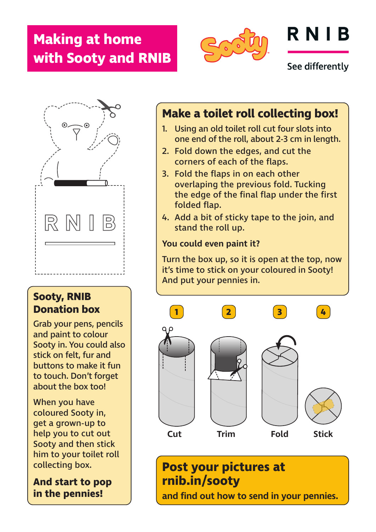## **Making at home with Sooty and RNIB**



# RNIB

See differently



#### **Sooty, RNIB Donation box**

Grab your pens, pencils and paint to colour Sooty in. You could also stick on felt, fur and buttons to make it fun to touch. Don't forget about the box too!

When you have coloured Sooty in, get a grown-up to help you to cut out Sooty and then stick him to your toilet roll collecting box.

**And start to pop in the pennies!**

#### **Make a toilet roll collecting box!**

- 1. Using an old toilet roll cut four slots into one end of the roll, about 2-3 cm in length.
- 2. Fold down the edges, and cut the corners of each of the flaps.
- 3. Fold the flaps in on each other overlaping the previous fold. Tucking the edge of the final flap under the first folded flap.
- 4. Add a bit of sticky tape to the join, and stand the roll up.

#### **You could even paint it?**

Turn the box up, so it is open at the top, now it's time to stick on your coloured in Sooty! And put your pennies in.



### **Post your pictures at rnib.in/sooty and find out how to send in your pennies.**